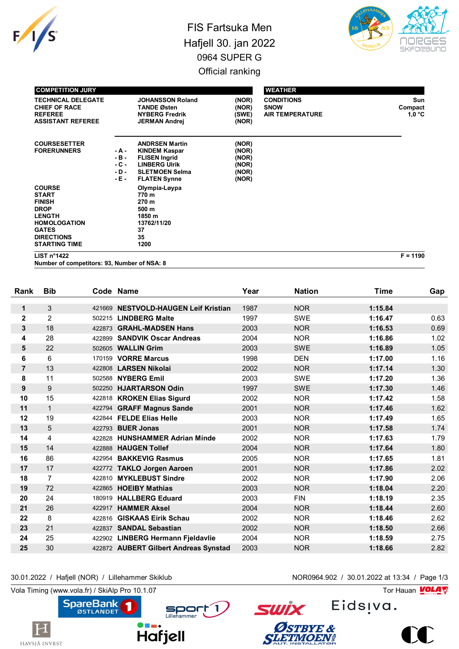

## FIS Fartsuka Men Hafjell 30. jan 2022 0964 SUPER G Official ranking



| <b>COMPETITION JURY</b>                                                                                                                                            |                                               |                                                                                                                                               |                                                    | <b>WEATHER</b>                                             |                            |
|--------------------------------------------------------------------------------------------------------------------------------------------------------------------|-----------------------------------------------|-----------------------------------------------------------------------------------------------------------------------------------------------|----------------------------------------------------|------------------------------------------------------------|----------------------------|
| <b>TECHNICAL DELEGATE</b><br><b>CHIEF OF RACE</b><br><b>REFEREE</b><br><b>ASSISTANT REFEREE</b>                                                                    |                                               | <b>JOHANSSON Roland</b><br><b>TANDE Østen</b><br><b>NYBERG Fredrik</b><br><b>JERMAN Andrej</b>                                                | (NOR)<br>(NOR)<br>(SWE)<br>(NOR)                   | <b>CONDITIONS</b><br><b>SNOW</b><br><b>AIR TEMPERATURE</b> | Sun<br>Compact<br>$1,0$ °C |
| <b>COURSESETTER</b><br><b>FORERUNNERS</b>                                                                                                                          | - A -<br>$-B -$<br>$-C -$<br>$-D -$<br>$-E -$ | <b>ANDRSEN Martin</b><br><b>KINDEM Kaspar</b><br><b>FLISEN Ingrid</b><br><b>LINBERG Ulrik</b><br><b>SLETMOEN Selma</b><br><b>FLATEN Synne</b> | (NOR)<br>(NOR)<br>(NOR)<br>(NOR)<br>(NOR)<br>(NOR) |                                                            |                            |
| <b>COURSE</b><br><b>START</b><br><b>FINISH</b><br><b>DROP</b><br><b>LENGTH</b><br><b>HOMOLOGATION</b><br><b>GATES</b><br><b>DIRECTIONS</b><br><b>STARTING TIME</b> |                                               | Olympia-Løypa<br>770 m<br>270 m<br>500 m<br>1850 m<br>13762/11/20<br>37<br>35<br>1200                                                         |                                                    |                                                            |                            |

**LIST n°1422 F = 1190**

**Number of competitors: 93, Number of NSA: 8**

| Rank           | <b>Bib</b>     |        | Code Name                             | Year | <b>Nation</b> | <b>Time</b> | Gap  |
|----------------|----------------|--------|---------------------------------------|------|---------------|-------------|------|
|                | 3              | 421669 | <b>NESTVOLD-HAUGEN Leif Kristian</b>  | 1987 | <b>NOR</b>    | 1:15.84     |      |
| 1              |                |        |                                       |      |               |             |      |
| $\mathbf 2$    | 2              |        | 502215 LINDBERG Malte                 | 1997 | <b>SWE</b>    | 1:16.47     | 0.63 |
| 3              | 18             |        | 422873 GRAHL-MADSEN Hans              | 2003 | <b>NOR</b>    | 1:16.53     | 0.69 |
| 4              | 28             | 422899 | <b>SANDVIK Oscar Andreas</b>          | 2004 | <b>NOR</b>    | 1:16.86     | 1.02 |
| 5              | 22             |        | 502605 WALLIN Grim                    | 2003 | <b>SWE</b>    | 1:16.89     | 1.05 |
| 6              | 6              |        | 170159 VORRE Marcus                   | 1998 | <b>DEN</b>    | 1:17.00     | 1.16 |
| $\overline{7}$ | 13             |        | 422808 LARSEN Nikolai                 | 2002 | <b>NOR</b>    | 1:17.14     | 1.30 |
| 8              | 11             | 502588 | <b>NYBERG Emil</b>                    | 2003 | <b>SWE</b>    | 1:17.20     | 1.36 |
| 9              | 9              | 502250 | <b>HJARTARSON Odin</b>                | 1997 | <b>SWE</b>    | 1:17.30     | 1.46 |
| 10             | 15             |        | 422818 KROKEN Elias Sigurd            | 2002 | <b>NOR</b>    | 1:17.42     | 1.58 |
| 11             | $\mathbf{1}$   |        | 422794 GRAFF Magnus Sande             | 2001 | <b>NOR</b>    | 1:17.46     | 1.62 |
| 12             | 19             |        | 422844 FELDE Elias Helle              | 2003 | <b>NOR</b>    | 1:17.49     | 1.65 |
| 13             | 5              | 422793 | <b>BUER Jonas</b>                     | 2001 | <b>NOR</b>    | 1:17.58     | 1.74 |
| 14             | 4              | 422828 | <b>HUNSHAMMER Adrian Minde</b>        | 2002 | <b>NOR</b>    | 1:17.63     | 1.79 |
| 15             | 14             |        | 422888 HAUGEN Tollef                  | 2004 | <b>NOR</b>    | 1:17.64     | 1.80 |
| 16             | 86             | 422954 | <b>BAKKEVIG Rasmus</b>                | 2005 | <b>NOR</b>    | 1:17.65     | 1.81 |
| 17             | 17             |        | 422772 TAKLO Jorgen Aaroen            | 2001 | <b>NOR</b>    | 1:17.86     | 2.02 |
| 18             | $\overline{7}$ | 422810 | <b>MYKLEBUST Sindre</b>               | 2002 | <b>NOR</b>    | 1:17.90     | 2.06 |
| 19             | 72             |        | 422865 HOEIBY Mathias                 | 2003 | <b>NOR</b>    | 1:18.04     | 2.20 |
| 20             | 24             |        | 180919 HALLBERG Eduard                | 2003 | <b>FIN</b>    | 1:18.19     | 2.35 |
| 21             | 26             | 422917 | <b>HAMMER Aksel</b>                   | 2004 | <b>NOR</b>    | 1:18.44     | 2.60 |
| 22             | 8              | 422816 | <b>GISKAAS Eirik Schau</b>            | 2002 | <b>NOR</b>    | 1:18.46     | 2.62 |
| 23             | 21             | 422837 | <b>SANDAL Sebastian</b>               | 2002 | <b>NOR</b>    | 1:18.50     | 2.66 |
| 24             | 25             |        | 422902 LINBERG Hermann Fjeldavlie     | 2004 | <b>NOR</b>    | 1:18.59     | 2.75 |
| 25             | 30             |        | 422872 AUBERT Gilbert Andreas Synstad | 2003 | <b>NOR</b>    | 1:18.66     | 2.82 |
|                |                |        |                                       |      |               |             |      |

30.01.2022 / Hafjell (NOR) / Lillehammer Skiklub NOR0964.902 / 30.01.2022 at 13:34 / Page 1/3



**Hafjell** 

Sport 1



Eids<sub>!va.</sub> **SWİX** Østbye &<br>Sletimoen!

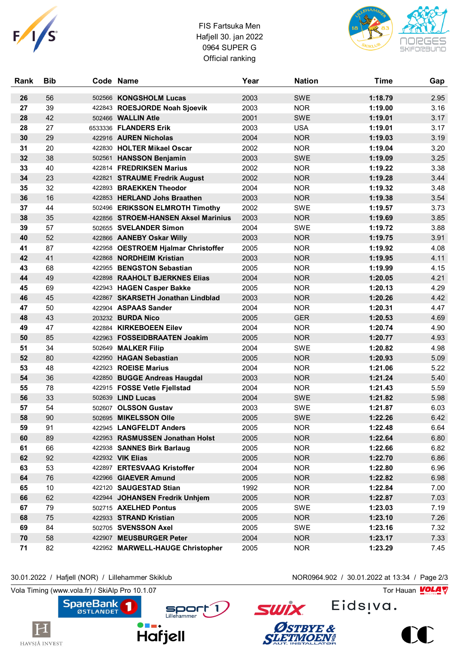

## FIS Fartsuka Men Hafjell 30. jan 2022 0964 SUPER G Official ranking



| 56<br>2003<br><b>SWE</b><br>1:18.79<br>2.95<br>26<br>502566 KONGSHOLM Lucas<br>39<br>2003<br>1:19.00<br>3.16<br>27<br>422843 ROESJORDE Noah Sjoevik<br><b>NOR</b><br>42<br>28<br>2001<br><b>SWE</b><br>1:19.01<br>3.17<br>502466 <b>WALLIN Atle</b><br>27<br>28<br>6533336 FLANDERS Erik<br>2003<br><b>USA</b><br>1:19.01<br>3.17<br>30<br>29<br>2004<br><b>NOR</b><br>3.19<br>422916 AUREN Nicholas<br>1:19.03<br>20<br>422830 HOLTER Mikael Oscar<br>2002<br><b>NOR</b><br>1:19.04<br>3.20<br>31<br>38<br>2003<br><b>SWE</b><br>1:19.09<br>3.25<br>32<br>502561 HANSSON Benjamin<br>33<br>40<br>2002<br><b>NOR</b><br>3.38<br>422814 FREDRIKSEN Marius<br>1:19.22<br>23<br><b>NOR</b><br>1:19.28<br>3.44<br>34<br>2002<br>422821 STRAUME Fredrik August<br>32<br>2004<br><b>NOR</b><br>3.48<br>35<br>422893 BRAEKKEN Theodor<br>1:19.32<br>16<br>3.54<br>36<br>2003<br><b>NOR</b><br>1:19.38<br>422853 HERLAND Johs Braathen<br>37<br>44<br>2002<br><b>SWE</b><br>1:19.57<br>3.73<br>502496 ERIKSSON ELMROTH Timothy<br>35<br>2003<br><b>NOR</b><br>3.85<br>38<br>422856 STROEM-HANSEN Aksel Marinius<br>1:19.69<br>57<br>3.88<br>39<br>502655 SVELANDER Simon<br>2004<br><b>SWE</b><br>1:19.72<br>52<br>2003<br><b>NOR</b><br>3.91<br>40<br>422866 AANEBY Oskar Willy<br>1:19.75<br>87<br>2005<br><b>NOR</b><br>4.08<br>41<br>422958 OESTROEM Hjalmar Christoffer<br>1:19.92<br>41<br>4.11<br>42<br>422868 NORDHEIM Kristian<br>2003<br><b>NOR</b><br>1:19.95<br>43<br>68<br>2005<br><b>NOR</b><br>1:19.99<br>4.15<br>422955 BENGSTON Sebastian<br>4.21<br>49<br>2004<br><b>NOR</b><br>44<br>422898 RAAHOLT BJERKNES Elias<br>1:20.05<br>69<br>4.29<br>45<br>2005<br><b>NOR</b><br>1:20.13<br>422943 HAGEN Casper Bakke<br>45<br>2003<br><b>NOR</b><br>4.42<br>46<br>422867 SKARSETH Jonathan Lindblad<br>1:20.26<br>50<br>2004<br><b>NOR</b><br>4.47<br>47<br>422904 ASPAAS Sander<br>1:20.31<br>43<br>203232 BURDA Nico<br>2005<br><b>GER</b><br>1:20.53<br>4.69<br>48<br>47<br>422884 KIRKEBOEEN Eilev<br>2004<br>4.90<br>49<br><b>NOR</b><br>1:20.74<br>85<br>2005<br><b>NOR</b><br>4.93<br>50<br>422963 FOSSEIDBRAATEN Joakim<br>1:20.77<br>51<br>34<br>2004<br><b>SWE</b><br>1:20.82<br>4.98<br>502649 MALKER Filip<br>80<br><b>NOR</b><br>1:20.93<br>5.09<br>52<br>422950 HAGAN Sebastian<br>2005<br>48<br>422923 ROEISE Marius<br>2004<br><b>NOR</b><br>5.22<br>53<br>1:21.06<br>5.40<br>36<br>2003<br><b>NOR</b><br>1:21.24<br>54<br>422850 BUGGE Andreas Haugdal<br>78<br>5.59<br>55<br>2004<br><b>NOR</b><br>1:21.43<br>422915 FOSSE Vetle Fjellstad<br>33<br>2004<br><b>SWE</b><br>5.98<br>56<br>502639 LIND Lucas<br>1:21.82<br>57<br>54<br>502607 OLSSON Gustav<br>2003<br><b>SWE</b><br>6.03<br>1:21.87<br>58<br><b>SWE</b><br>6.42<br>90<br>502695 MIKELSSON Olle<br>2005<br>1:22.26<br>6.64<br>59<br>91<br>422945 LANGFELDT Anders<br>2005<br><b>NOR</b><br>1:22.48<br>89<br>2005<br><b>NOR</b><br>1:22.64<br>6.80<br>60<br>422953 RASMUSSEN Jonathan Holst<br>66<br>6.82<br>61<br>422938 SANNES Birk Barlaug<br>2005<br><b>NOR</b><br>1:22.66<br>62<br>92<br>422932 VIK Elias<br>2005<br><b>NOR</b><br>1:22.70<br>6.86<br>63<br>53<br>422897 ERTESVAAG Kristoffer<br>2004<br><b>NOR</b><br>6.96<br>1:22.80<br>6.98<br>64<br>76<br>422966 GIAEVER Amund<br>2005<br><b>NOR</b><br>1:22.82<br>$10$<br>65<br>422120 SAUGESTAD Stian<br>1992<br><b>NOR</b><br>1:22.84<br>7.00<br>62<br><b>NOR</b><br>66<br>422944 JOHANSEN Fredrik Unhjem<br>2005<br>1:22.87<br>7.03<br>67<br>79<br>502715 AXELHED Pontus<br>2005<br>SWE<br>1:23.03<br>7.19<br>75<br><b>NOR</b><br>68<br>422933 STRAND Kristian<br>2005<br>1:23.10<br>7.26<br>69<br>84<br>502705 SVENSSON Axel<br>2005<br><b>SWE</b><br>1:23.16<br>7.32<br>58<br>2004<br>70<br>422907 MEUSBURGER Peter<br><b>NOR</b><br>1:23.17<br>7.33 | Rank | <b>Bib</b> | Code Name                        | Year | <b>Nation</b> | <b>Time</b> | Gap  |
|---------------------------------------------------------------------------------------------------------------------------------------------------------------------------------------------------------------------------------------------------------------------------------------------------------------------------------------------------------------------------------------------------------------------------------------------------------------------------------------------------------------------------------------------------------------------------------------------------------------------------------------------------------------------------------------------------------------------------------------------------------------------------------------------------------------------------------------------------------------------------------------------------------------------------------------------------------------------------------------------------------------------------------------------------------------------------------------------------------------------------------------------------------------------------------------------------------------------------------------------------------------------------------------------------------------------------------------------------------------------------------------------------------------------------------------------------------------------------------------------------------------------------------------------------------------------------------------------------------------------------------------------------------------------------------------------------------------------------------------------------------------------------------------------------------------------------------------------------------------------------------------------------------------------------------------------------------------------------------------------------------------------------------------------------------------------------------------------------------------------------------------------------------------------------------------------------------------------------------------------------------------------------------------------------------------------------------------------------------------------------------------------------------------------------------------------------------------------------------------------------------------------------------------------------------------------------------------------------------------------------------------------------------------------------------------------------------------------------------------------------------------------------------------------------------------------------------------------------------------------------------------------------------------------------------------------------------------------------------------------------------------------------------------------------------------------------------------------------------------------------------------------------------------------------------------------------------------------------------------------------------------------------------------------------------------------------------------------------------------------------------------------------------------------------------------------------------------------------------------------------------------------------------------------------------------------------------------------------------------------------------------------------------------------------------------------------------------------------------------------------------------------------------------------------------|------|------------|----------------------------------|------|---------------|-------------|------|
|                                                                                                                                                                                                                                                                                                                                                                                                                                                                                                                                                                                                                                                                                                                                                                                                                                                                                                                                                                                                                                                                                                                                                                                                                                                                                                                                                                                                                                                                                                                                                                                                                                                                                                                                                                                                                                                                                                                                                                                                                                                                                                                                                                                                                                                                                                                                                                                                                                                                                                                                                                                                                                                                                                                                                                                                                                                                                                                                                                                                                                                                                                                                                                                                                                                                                                                                                                                                                                                                                                                                                                                                                                                                                                                                                                                                         |      |            |                                  |      |               |             |      |
|                                                                                                                                                                                                                                                                                                                                                                                                                                                                                                                                                                                                                                                                                                                                                                                                                                                                                                                                                                                                                                                                                                                                                                                                                                                                                                                                                                                                                                                                                                                                                                                                                                                                                                                                                                                                                                                                                                                                                                                                                                                                                                                                                                                                                                                                                                                                                                                                                                                                                                                                                                                                                                                                                                                                                                                                                                                                                                                                                                                                                                                                                                                                                                                                                                                                                                                                                                                                                                                                                                                                                                                                                                                                                                                                                                                                         |      |            |                                  |      |               |             |      |
|                                                                                                                                                                                                                                                                                                                                                                                                                                                                                                                                                                                                                                                                                                                                                                                                                                                                                                                                                                                                                                                                                                                                                                                                                                                                                                                                                                                                                                                                                                                                                                                                                                                                                                                                                                                                                                                                                                                                                                                                                                                                                                                                                                                                                                                                                                                                                                                                                                                                                                                                                                                                                                                                                                                                                                                                                                                                                                                                                                                                                                                                                                                                                                                                                                                                                                                                                                                                                                                                                                                                                                                                                                                                                                                                                                                                         |      |            |                                  |      |               |             |      |
|                                                                                                                                                                                                                                                                                                                                                                                                                                                                                                                                                                                                                                                                                                                                                                                                                                                                                                                                                                                                                                                                                                                                                                                                                                                                                                                                                                                                                                                                                                                                                                                                                                                                                                                                                                                                                                                                                                                                                                                                                                                                                                                                                                                                                                                                                                                                                                                                                                                                                                                                                                                                                                                                                                                                                                                                                                                                                                                                                                                                                                                                                                                                                                                                                                                                                                                                                                                                                                                                                                                                                                                                                                                                                                                                                                                                         |      |            |                                  |      |               |             |      |
|                                                                                                                                                                                                                                                                                                                                                                                                                                                                                                                                                                                                                                                                                                                                                                                                                                                                                                                                                                                                                                                                                                                                                                                                                                                                                                                                                                                                                                                                                                                                                                                                                                                                                                                                                                                                                                                                                                                                                                                                                                                                                                                                                                                                                                                                                                                                                                                                                                                                                                                                                                                                                                                                                                                                                                                                                                                                                                                                                                                                                                                                                                                                                                                                                                                                                                                                                                                                                                                                                                                                                                                                                                                                                                                                                                                                         |      |            |                                  |      |               |             |      |
|                                                                                                                                                                                                                                                                                                                                                                                                                                                                                                                                                                                                                                                                                                                                                                                                                                                                                                                                                                                                                                                                                                                                                                                                                                                                                                                                                                                                                                                                                                                                                                                                                                                                                                                                                                                                                                                                                                                                                                                                                                                                                                                                                                                                                                                                                                                                                                                                                                                                                                                                                                                                                                                                                                                                                                                                                                                                                                                                                                                                                                                                                                                                                                                                                                                                                                                                                                                                                                                                                                                                                                                                                                                                                                                                                                                                         |      |            |                                  |      |               |             |      |
|                                                                                                                                                                                                                                                                                                                                                                                                                                                                                                                                                                                                                                                                                                                                                                                                                                                                                                                                                                                                                                                                                                                                                                                                                                                                                                                                                                                                                                                                                                                                                                                                                                                                                                                                                                                                                                                                                                                                                                                                                                                                                                                                                                                                                                                                                                                                                                                                                                                                                                                                                                                                                                                                                                                                                                                                                                                                                                                                                                                                                                                                                                                                                                                                                                                                                                                                                                                                                                                                                                                                                                                                                                                                                                                                                                                                         |      |            |                                  |      |               |             |      |
|                                                                                                                                                                                                                                                                                                                                                                                                                                                                                                                                                                                                                                                                                                                                                                                                                                                                                                                                                                                                                                                                                                                                                                                                                                                                                                                                                                                                                                                                                                                                                                                                                                                                                                                                                                                                                                                                                                                                                                                                                                                                                                                                                                                                                                                                                                                                                                                                                                                                                                                                                                                                                                                                                                                                                                                                                                                                                                                                                                                                                                                                                                                                                                                                                                                                                                                                                                                                                                                                                                                                                                                                                                                                                                                                                                                                         |      |            |                                  |      |               |             |      |
|                                                                                                                                                                                                                                                                                                                                                                                                                                                                                                                                                                                                                                                                                                                                                                                                                                                                                                                                                                                                                                                                                                                                                                                                                                                                                                                                                                                                                                                                                                                                                                                                                                                                                                                                                                                                                                                                                                                                                                                                                                                                                                                                                                                                                                                                                                                                                                                                                                                                                                                                                                                                                                                                                                                                                                                                                                                                                                                                                                                                                                                                                                                                                                                                                                                                                                                                                                                                                                                                                                                                                                                                                                                                                                                                                                                                         |      |            |                                  |      |               |             |      |
|                                                                                                                                                                                                                                                                                                                                                                                                                                                                                                                                                                                                                                                                                                                                                                                                                                                                                                                                                                                                                                                                                                                                                                                                                                                                                                                                                                                                                                                                                                                                                                                                                                                                                                                                                                                                                                                                                                                                                                                                                                                                                                                                                                                                                                                                                                                                                                                                                                                                                                                                                                                                                                                                                                                                                                                                                                                                                                                                                                                                                                                                                                                                                                                                                                                                                                                                                                                                                                                                                                                                                                                                                                                                                                                                                                                                         |      |            |                                  |      |               |             |      |
|                                                                                                                                                                                                                                                                                                                                                                                                                                                                                                                                                                                                                                                                                                                                                                                                                                                                                                                                                                                                                                                                                                                                                                                                                                                                                                                                                                                                                                                                                                                                                                                                                                                                                                                                                                                                                                                                                                                                                                                                                                                                                                                                                                                                                                                                                                                                                                                                                                                                                                                                                                                                                                                                                                                                                                                                                                                                                                                                                                                                                                                                                                                                                                                                                                                                                                                                                                                                                                                                                                                                                                                                                                                                                                                                                                                                         |      |            |                                  |      |               |             |      |
|                                                                                                                                                                                                                                                                                                                                                                                                                                                                                                                                                                                                                                                                                                                                                                                                                                                                                                                                                                                                                                                                                                                                                                                                                                                                                                                                                                                                                                                                                                                                                                                                                                                                                                                                                                                                                                                                                                                                                                                                                                                                                                                                                                                                                                                                                                                                                                                                                                                                                                                                                                                                                                                                                                                                                                                                                                                                                                                                                                                                                                                                                                                                                                                                                                                                                                                                                                                                                                                                                                                                                                                                                                                                                                                                                                                                         |      |            |                                  |      |               |             |      |
|                                                                                                                                                                                                                                                                                                                                                                                                                                                                                                                                                                                                                                                                                                                                                                                                                                                                                                                                                                                                                                                                                                                                                                                                                                                                                                                                                                                                                                                                                                                                                                                                                                                                                                                                                                                                                                                                                                                                                                                                                                                                                                                                                                                                                                                                                                                                                                                                                                                                                                                                                                                                                                                                                                                                                                                                                                                                                                                                                                                                                                                                                                                                                                                                                                                                                                                                                                                                                                                                                                                                                                                                                                                                                                                                                                                                         |      |            |                                  |      |               |             |      |
|                                                                                                                                                                                                                                                                                                                                                                                                                                                                                                                                                                                                                                                                                                                                                                                                                                                                                                                                                                                                                                                                                                                                                                                                                                                                                                                                                                                                                                                                                                                                                                                                                                                                                                                                                                                                                                                                                                                                                                                                                                                                                                                                                                                                                                                                                                                                                                                                                                                                                                                                                                                                                                                                                                                                                                                                                                                                                                                                                                                                                                                                                                                                                                                                                                                                                                                                                                                                                                                                                                                                                                                                                                                                                                                                                                                                         |      |            |                                  |      |               |             |      |
|                                                                                                                                                                                                                                                                                                                                                                                                                                                                                                                                                                                                                                                                                                                                                                                                                                                                                                                                                                                                                                                                                                                                                                                                                                                                                                                                                                                                                                                                                                                                                                                                                                                                                                                                                                                                                                                                                                                                                                                                                                                                                                                                                                                                                                                                                                                                                                                                                                                                                                                                                                                                                                                                                                                                                                                                                                                                                                                                                                                                                                                                                                                                                                                                                                                                                                                                                                                                                                                                                                                                                                                                                                                                                                                                                                                                         |      |            |                                  |      |               |             |      |
|                                                                                                                                                                                                                                                                                                                                                                                                                                                                                                                                                                                                                                                                                                                                                                                                                                                                                                                                                                                                                                                                                                                                                                                                                                                                                                                                                                                                                                                                                                                                                                                                                                                                                                                                                                                                                                                                                                                                                                                                                                                                                                                                                                                                                                                                                                                                                                                                                                                                                                                                                                                                                                                                                                                                                                                                                                                                                                                                                                                                                                                                                                                                                                                                                                                                                                                                                                                                                                                                                                                                                                                                                                                                                                                                                                                                         |      |            |                                  |      |               |             |      |
|                                                                                                                                                                                                                                                                                                                                                                                                                                                                                                                                                                                                                                                                                                                                                                                                                                                                                                                                                                                                                                                                                                                                                                                                                                                                                                                                                                                                                                                                                                                                                                                                                                                                                                                                                                                                                                                                                                                                                                                                                                                                                                                                                                                                                                                                                                                                                                                                                                                                                                                                                                                                                                                                                                                                                                                                                                                                                                                                                                                                                                                                                                                                                                                                                                                                                                                                                                                                                                                                                                                                                                                                                                                                                                                                                                                                         |      |            |                                  |      |               |             |      |
|                                                                                                                                                                                                                                                                                                                                                                                                                                                                                                                                                                                                                                                                                                                                                                                                                                                                                                                                                                                                                                                                                                                                                                                                                                                                                                                                                                                                                                                                                                                                                                                                                                                                                                                                                                                                                                                                                                                                                                                                                                                                                                                                                                                                                                                                                                                                                                                                                                                                                                                                                                                                                                                                                                                                                                                                                                                                                                                                                                                                                                                                                                                                                                                                                                                                                                                                                                                                                                                                                                                                                                                                                                                                                                                                                                                                         |      |            |                                  |      |               |             |      |
|                                                                                                                                                                                                                                                                                                                                                                                                                                                                                                                                                                                                                                                                                                                                                                                                                                                                                                                                                                                                                                                                                                                                                                                                                                                                                                                                                                                                                                                                                                                                                                                                                                                                                                                                                                                                                                                                                                                                                                                                                                                                                                                                                                                                                                                                                                                                                                                                                                                                                                                                                                                                                                                                                                                                                                                                                                                                                                                                                                                                                                                                                                                                                                                                                                                                                                                                                                                                                                                                                                                                                                                                                                                                                                                                                                                                         |      |            |                                  |      |               |             |      |
|                                                                                                                                                                                                                                                                                                                                                                                                                                                                                                                                                                                                                                                                                                                                                                                                                                                                                                                                                                                                                                                                                                                                                                                                                                                                                                                                                                                                                                                                                                                                                                                                                                                                                                                                                                                                                                                                                                                                                                                                                                                                                                                                                                                                                                                                                                                                                                                                                                                                                                                                                                                                                                                                                                                                                                                                                                                                                                                                                                                                                                                                                                                                                                                                                                                                                                                                                                                                                                                                                                                                                                                                                                                                                                                                                                                                         |      |            |                                  |      |               |             |      |
|                                                                                                                                                                                                                                                                                                                                                                                                                                                                                                                                                                                                                                                                                                                                                                                                                                                                                                                                                                                                                                                                                                                                                                                                                                                                                                                                                                                                                                                                                                                                                                                                                                                                                                                                                                                                                                                                                                                                                                                                                                                                                                                                                                                                                                                                                                                                                                                                                                                                                                                                                                                                                                                                                                                                                                                                                                                                                                                                                                                                                                                                                                                                                                                                                                                                                                                                                                                                                                                                                                                                                                                                                                                                                                                                                                                                         |      |            |                                  |      |               |             |      |
|                                                                                                                                                                                                                                                                                                                                                                                                                                                                                                                                                                                                                                                                                                                                                                                                                                                                                                                                                                                                                                                                                                                                                                                                                                                                                                                                                                                                                                                                                                                                                                                                                                                                                                                                                                                                                                                                                                                                                                                                                                                                                                                                                                                                                                                                                                                                                                                                                                                                                                                                                                                                                                                                                                                                                                                                                                                                                                                                                                                                                                                                                                                                                                                                                                                                                                                                                                                                                                                                                                                                                                                                                                                                                                                                                                                                         |      |            |                                  |      |               |             |      |
|                                                                                                                                                                                                                                                                                                                                                                                                                                                                                                                                                                                                                                                                                                                                                                                                                                                                                                                                                                                                                                                                                                                                                                                                                                                                                                                                                                                                                                                                                                                                                                                                                                                                                                                                                                                                                                                                                                                                                                                                                                                                                                                                                                                                                                                                                                                                                                                                                                                                                                                                                                                                                                                                                                                                                                                                                                                                                                                                                                                                                                                                                                                                                                                                                                                                                                                                                                                                                                                                                                                                                                                                                                                                                                                                                                                                         |      |            |                                  |      |               |             |      |
|                                                                                                                                                                                                                                                                                                                                                                                                                                                                                                                                                                                                                                                                                                                                                                                                                                                                                                                                                                                                                                                                                                                                                                                                                                                                                                                                                                                                                                                                                                                                                                                                                                                                                                                                                                                                                                                                                                                                                                                                                                                                                                                                                                                                                                                                                                                                                                                                                                                                                                                                                                                                                                                                                                                                                                                                                                                                                                                                                                                                                                                                                                                                                                                                                                                                                                                                                                                                                                                                                                                                                                                                                                                                                                                                                                                                         |      |            |                                  |      |               |             |      |
|                                                                                                                                                                                                                                                                                                                                                                                                                                                                                                                                                                                                                                                                                                                                                                                                                                                                                                                                                                                                                                                                                                                                                                                                                                                                                                                                                                                                                                                                                                                                                                                                                                                                                                                                                                                                                                                                                                                                                                                                                                                                                                                                                                                                                                                                                                                                                                                                                                                                                                                                                                                                                                                                                                                                                                                                                                                                                                                                                                                                                                                                                                                                                                                                                                                                                                                                                                                                                                                                                                                                                                                                                                                                                                                                                                                                         |      |            |                                  |      |               |             |      |
|                                                                                                                                                                                                                                                                                                                                                                                                                                                                                                                                                                                                                                                                                                                                                                                                                                                                                                                                                                                                                                                                                                                                                                                                                                                                                                                                                                                                                                                                                                                                                                                                                                                                                                                                                                                                                                                                                                                                                                                                                                                                                                                                                                                                                                                                                                                                                                                                                                                                                                                                                                                                                                                                                                                                                                                                                                                                                                                                                                                                                                                                                                                                                                                                                                                                                                                                                                                                                                                                                                                                                                                                                                                                                                                                                                                                         |      |            |                                  |      |               |             |      |
|                                                                                                                                                                                                                                                                                                                                                                                                                                                                                                                                                                                                                                                                                                                                                                                                                                                                                                                                                                                                                                                                                                                                                                                                                                                                                                                                                                                                                                                                                                                                                                                                                                                                                                                                                                                                                                                                                                                                                                                                                                                                                                                                                                                                                                                                                                                                                                                                                                                                                                                                                                                                                                                                                                                                                                                                                                                                                                                                                                                                                                                                                                                                                                                                                                                                                                                                                                                                                                                                                                                                                                                                                                                                                                                                                                                                         |      |            |                                  |      |               |             |      |
|                                                                                                                                                                                                                                                                                                                                                                                                                                                                                                                                                                                                                                                                                                                                                                                                                                                                                                                                                                                                                                                                                                                                                                                                                                                                                                                                                                                                                                                                                                                                                                                                                                                                                                                                                                                                                                                                                                                                                                                                                                                                                                                                                                                                                                                                                                                                                                                                                                                                                                                                                                                                                                                                                                                                                                                                                                                                                                                                                                                                                                                                                                                                                                                                                                                                                                                                                                                                                                                                                                                                                                                                                                                                                                                                                                                                         |      |            |                                  |      |               |             |      |
|                                                                                                                                                                                                                                                                                                                                                                                                                                                                                                                                                                                                                                                                                                                                                                                                                                                                                                                                                                                                                                                                                                                                                                                                                                                                                                                                                                                                                                                                                                                                                                                                                                                                                                                                                                                                                                                                                                                                                                                                                                                                                                                                                                                                                                                                                                                                                                                                                                                                                                                                                                                                                                                                                                                                                                                                                                                                                                                                                                                                                                                                                                                                                                                                                                                                                                                                                                                                                                                                                                                                                                                                                                                                                                                                                                                                         |      |            |                                  |      |               |             |      |
|                                                                                                                                                                                                                                                                                                                                                                                                                                                                                                                                                                                                                                                                                                                                                                                                                                                                                                                                                                                                                                                                                                                                                                                                                                                                                                                                                                                                                                                                                                                                                                                                                                                                                                                                                                                                                                                                                                                                                                                                                                                                                                                                                                                                                                                                                                                                                                                                                                                                                                                                                                                                                                                                                                                                                                                                                                                                                                                                                                                                                                                                                                                                                                                                                                                                                                                                                                                                                                                                                                                                                                                                                                                                                                                                                                                                         |      |            |                                  |      |               |             |      |
|                                                                                                                                                                                                                                                                                                                                                                                                                                                                                                                                                                                                                                                                                                                                                                                                                                                                                                                                                                                                                                                                                                                                                                                                                                                                                                                                                                                                                                                                                                                                                                                                                                                                                                                                                                                                                                                                                                                                                                                                                                                                                                                                                                                                                                                                                                                                                                                                                                                                                                                                                                                                                                                                                                                                                                                                                                                                                                                                                                                                                                                                                                                                                                                                                                                                                                                                                                                                                                                                                                                                                                                                                                                                                                                                                                                                         |      |            |                                  |      |               |             |      |
|                                                                                                                                                                                                                                                                                                                                                                                                                                                                                                                                                                                                                                                                                                                                                                                                                                                                                                                                                                                                                                                                                                                                                                                                                                                                                                                                                                                                                                                                                                                                                                                                                                                                                                                                                                                                                                                                                                                                                                                                                                                                                                                                                                                                                                                                                                                                                                                                                                                                                                                                                                                                                                                                                                                                                                                                                                                                                                                                                                                                                                                                                                                                                                                                                                                                                                                                                                                                                                                                                                                                                                                                                                                                                                                                                                                                         |      |            |                                  |      |               |             |      |
|                                                                                                                                                                                                                                                                                                                                                                                                                                                                                                                                                                                                                                                                                                                                                                                                                                                                                                                                                                                                                                                                                                                                                                                                                                                                                                                                                                                                                                                                                                                                                                                                                                                                                                                                                                                                                                                                                                                                                                                                                                                                                                                                                                                                                                                                                                                                                                                                                                                                                                                                                                                                                                                                                                                                                                                                                                                                                                                                                                                                                                                                                                                                                                                                                                                                                                                                                                                                                                                                                                                                                                                                                                                                                                                                                                                                         |      |            |                                  |      |               |             |      |
|                                                                                                                                                                                                                                                                                                                                                                                                                                                                                                                                                                                                                                                                                                                                                                                                                                                                                                                                                                                                                                                                                                                                                                                                                                                                                                                                                                                                                                                                                                                                                                                                                                                                                                                                                                                                                                                                                                                                                                                                                                                                                                                                                                                                                                                                                                                                                                                                                                                                                                                                                                                                                                                                                                                                                                                                                                                                                                                                                                                                                                                                                                                                                                                                                                                                                                                                                                                                                                                                                                                                                                                                                                                                                                                                                                                                         |      |            |                                  |      |               |             |      |
|                                                                                                                                                                                                                                                                                                                                                                                                                                                                                                                                                                                                                                                                                                                                                                                                                                                                                                                                                                                                                                                                                                                                                                                                                                                                                                                                                                                                                                                                                                                                                                                                                                                                                                                                                                                                                                                                                                                                                                                                                                                                                                                                                                                                                                                                                                                                                                                                                                                                                                                                                                                                                                                                                                                                                                                                                                                                                                                                                                                                                                                                                                                                                                                                                                                                                                                                                                                                                                                                                                                                                                                                                                                                                                                                                                                                         |      |            |                                  |      |               |             |      |
|                                                                                                                                                                                                                                                                                                                                                                                                                                                                                                                                                                                                                                                                                                                                                                                                                                                                                                                                                                                                                                                                                                                                                                                                                                                                                                                                                                                                                                                                                                                                                                                                                                                                                                                                                                                                                                                                                                                                                                                                                                                                                                                                                                                                                                                                                                                                                                                                                                                                                                                                                                                                                                                                                                                                                                                                                                                                                                                                                                                                                                                                                                                                                                                                                                                                                                                                                                                                                                                                                                                                                                                                                                                                                                                                                                                                         |      |            |                                  |      |               |             |      |
|                                                                                                                                                                                                                                                                                                                                                                                                                                                                                                                                                                                                                                                                                                                                                                                                                                                                                                                                                                                                                                                                                                                                                                                                                                                                                                                                                                                                                                                                                                                                                                                                                                                                                                                                                                                                                                                                                                                                                                                                                                                                                                                                                                                                                                                                                                                                                                                                                                                                                                                                                                                                                                                                                                                                                                                                                                                                                                                                                                                                                                                                                                                                                                                                                                                                                                                                                                                                                                                                                                                                                                                                                                                                                                                                                                                                         |      |            |                                  |      |               |             |      |
|                                                                                                                                                                                                                                                                                                                                                                                                                                                                                                                                                                                                                                                                                                                                                                                                                                                                                                                                                                                                                                                                                                                                                                                                                                                                                                                                                                                                                                                                                                                                                                                                                                                                                                                                                                                                                                                                                                                                                                                                                                                                                                                                                                                                                                                                                                                                                                                                                                                                                                                                                                                                                                                                                                                                                                                                                                                                                                                                                                                                                                                                                                                                                                                                                                                                                                                                                                                                                                                                                                                                                                                                                                                                                                                                                                                                         |      |            |                                  |      |               |             |      |
|                                                                                                                                                                                                                                                                                                                                                                                                                                                                                                                                                                                                                                                                                                                                                                                                                                                                                                                                                                                                                                                                                                                                                                                                                                                                                                                                                                                                                                                                                                                                                                                                                                                                                                                                                                                                                                                                                                                                                                                                                                                                                                                                                                                                                                                                                                                                                                                                                                                                                                                                                                                                                                                                                                                                                                                                                                                                                                                                                                                                                                                                                                                                                                                                                                                                                                                                                                                                                                                                                                                                                                                                                                                                                                                                                                                                         |      |            |                                  |      |               |             |      |
|                                                                                                                                                                                                                                                                                                                                                                                                                                                                                                                                                                                                                                                                                                                                                                                                                                                                                                                                                                                                                                                                                                                                                                                                                                                                                                                                                                                                                                                                                                                                                                                                                                                                                                                                                                                                                                                                                                                                                                                                                                                                                                                                                                                                                                                                                                                                                                                                                                                                                                                                                                                                                                                                                                                                                                                                                                                                                                                                                                                                                                                                                                                                                                                                                                                                                                                                                                                                                                                                                                                                                                                                                                                                                                                                                                                                         |      |            |                                  |      |               |             |      |
|                                                                                                                                                                                                                                                                                                                                                                                                                                                                                                                                                                                                                                                                                                                                                                                                                                                                                                                                                                                                                                                                                                                                                                                                                                                                                                                                                                                                                                                                                                                                                                                                                                                                                                                                                                                                                                                                                                                                                                                                                                                                                                                                                                                                                                                                                                                                                                                                                                                                                                                                                                                                                                                                                                                                                                                                                                                                                                                                                                                                                                                                                                                                                                                                                                                                                                                                                                                                                                                                                                                                                                                                                                                                                                                                                                                                         |      |            |                                  |      |               |             |      |
|                                                                                                                                                                                                                                                                                                                                                                                                                                                                                                                                                                                                                                                                                                                                                                                                                                                                                                                                                                                                                                                                                                                                                                                                                                                                                                                                                                                                                                                                                                                                                                                                                                                                                                                                                                                                                                                                                                                                                                                                                                                                                                                                                                                                                                                                                                                                                                                                                                                                                                                                                                                                                                                                                                                                                                                                                                                                                                                                                                                                                                                                                                                                                                                                                                                                                                                                                                                                                                                                                                                                                                                                                                                                                                                                                                                                         |      |            |                                  |      |               |             |      |
|                                                                                                                                                                                                                                                                                                                                                                                                                                                                                                                                                                                                                                                                                                                                                                                                                                                                                                                                                                                                                                                                                                                                                                                                                                                                                                                                                                                                                                                                                                                                                                                                                                                                                                                                                                                                                                                                                                                                                                                                                                                                                                                                                                                                                                                                                                                                                                                                                                                                                                                                                                                                                                                                                                                                                                                                                                                                                                                                                                                                                                                                                                                                                                                                                                                                                                                                                                                                                                                                                                                                                                                                                                                                                                                                                                                                         |      |            |                                  |      |               |             |      |
|                                                                                                                                                                                                                                                                                                                                                                                                                                                                                                                                                                                                                                                                                                                                                                                                                                                                                                                                                                                                                                                                                                                                                                                                                                                                                                                                                                                                                                                                                                                                                                                                                                                                                                                                                                                                                                                                                                                                                                                                                                                                                                                                                                                                                                                                                                                                                                                                                                                                                                                                                                                                                                                                                                                                                                                                                                                                                                                                                                                                                                                                                                                                                                                                                                                                                                                                                                                                                                                                                                                                                                                                                                                                                                                                                                                                         |      |            |                                  |      |               |             |      |
|                                                                                                                                                                                                                                                                                                                                                                                                                                                                                                                                                                                                                                                                                                                                                                                                                                                                                                                                                                                                                                                                                                                                                                                                                                                                                                                                                                                                                                                                                                                                                                                                                                                                                                                                                                                                                                                                                                                                                                                                                                                                                                                                                                                                                                                                                                                                                                                                                                                                                                                                                                                                                                                                                                                                                                                                                                                                                                                                                                                                                                                                                                                                                                                                                                                                                                                                                                                                                                                                                                                                                                                                                                                                                                                                                                                                         | 71   | 82         | 422952 MARWELL-HAUGE Christopher | 2005 | <b>NOR</b>    | 1:23.29     | 7.45 |

30.01.2022 / Hafjell (NOR) / Lillehammer Skiklub NOR0964.902 / 30.01.2022 at 13:34 / Page 2/3

H

HAVSJÅ INVEST

Vola Timing (www.vola.fr) / SkiAlp Pro 10.1.07 Tor Hauan  $\sqrt{\frac{1}{2}}$ 



Eids<sub>!va.</sub>

**SWİX** 

**ØSTBYE &<br>SLETMOEN#**